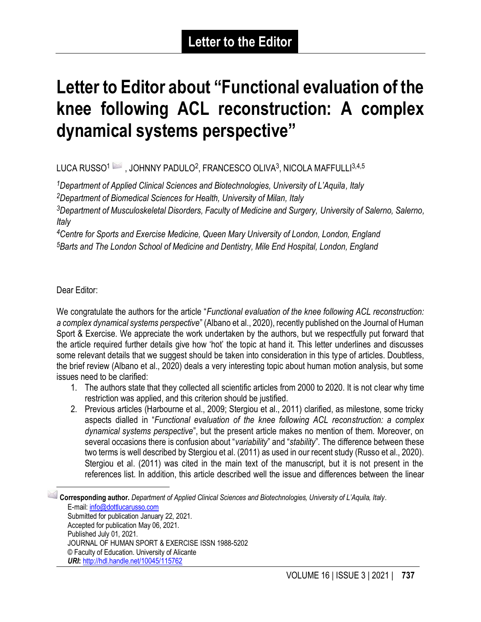## **Letter to Editor about "Functional evaluation of the knee following ACL reconstruction: A complex dynamical systems perspective"**

## LUCA RUSSO $^1\!\!\bowtie$  , JOHNNY PADULO $^2$ , FRANCESCO OLIVA $^3$ , NICOLA MAFFULLI $^{3,4,5}$

*<sup>1</sup>Department of Applied Clinical Sciences and Biotechnologies, University of L'Aquila, Italy <sup>2</sup>Department of Biomedical Sciences for Health, University of Milan, Italy*

*<sup>3</sup>Department of Musculoskeletal Disorders, Faculty of Medicine and Surgery, University of Salerno, Salerno, Italy*

*<sup>4</sup>Centre for Sports and Exercise Medicine, Queen Mary University of London, London, England <sup>5</sup>Barts and The London School of Medicine and Dentistry, Mile End Hospital, London, England*

Dear Editor:

We congratulate the authors for the article "*Functional evaluation of the knee following ACL reconstruction: a complex dynamical systems perspective*" (Albano et al., 2020), recently published on the Journal of Human Sport & Exercise. We appreciate the work undertaken by the authors, but we respectfully put forward that the article required further details give how 'hot' the topic at hand it. This letter underlines and discusses some relevant details that we suggest should be taken into consideration in this type of articles. Doubtless, the brief review (Albano et al., 2020) deals a very interesting topic about human motion analysis, but some issues need to be clarified:

- 1. The authors state that they collected all scientific articles from 2000 to 2020. It is not clear why time restriction was applied, and this criterion should be justified.
- 2. Previous articles (Harbourne et al., 2009; Stergiou et al., 2011) clarified, as milestone, some tricky aspects dialled in "*Functional evaluation of the knee following ACL reconstruction: a complex dynamical systems perspective*", but the present article makes no mention of them. Moreover, on several occasions there is confusion about "*variability*" and "*stability*". The difference between these two terms is well described by Stergiou et al. (2011) as used in our recent study (Russo et al., 2020). Stergiou et al. (2011) was cited in the main text of the manuscript, but it is not present in the references list. In addition, this article described well the issue and differences between the linear

1 **Corresponding author.** *Department of Applied Clinical Sciences and Biotechnologies, University of L'Aquila, Italy.* E-mail: [info@dottlucarusso.com](mailto:info@dottlucarusso.com) Submitted for publication January 22, 2021. Accepted for publication May 06, 2021. Published July 01, 2021. JOURNAL OF HUMAN SPORT & EXERCISE ISSN 1988-5202 © Faculty of Education. University of Alicante *URI***:** <http://hdl.handle.net/10045/115762>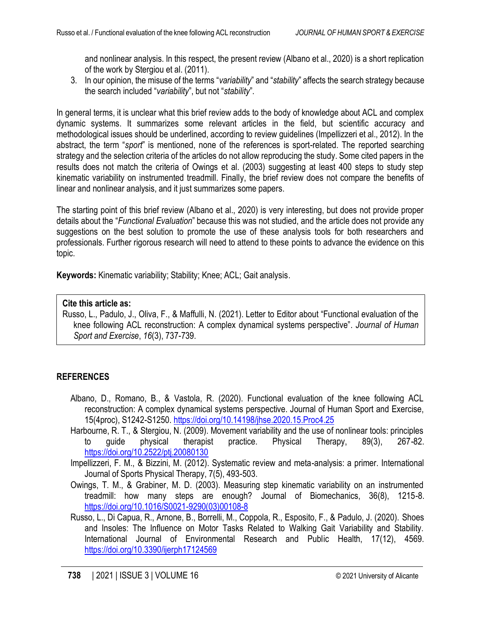and nonlinear analysis. In this respect, the present review (Albano et al., 2020) is a short replication of the work by Stergiou et al. (2011).

3. In our opinion, the misuse of the terms "*variability*" and "*stability*" affects the search strategy because the search included "*variability*", but not "*stability*".

In general terms, it is unclear what this brief review adds to the body of knowledge about ACL and complex dynamic systems. It summarizes some relevant articles in the field, but scientific accuracy and methodological issues should be underlined, according to review guidelines (Impellizzeri et al., 2012). In the abstract, the term "*sport*" is mentioned, none of the references is sport-related. The reported searching strategy and the selection criteria of the articles do not allow reproducing the study. Some cited papers in the results does not match the criteria of Owings et al. (2003) suggesting at least 400 steps to study step kinematic variability on instrumented treadmill. Finally, the brief review does not compare the benefits of linear and nonlinear analysis, and it just summarizes some papers.

The starting point of this brief review (Albano et al., 2020) is very interesting, but does not provide proper details about the "*Functional Evaluation*" because this was not studied, and the article does not provide any suggestions on the best solution to promote the use of these analysis tools for both researchers and professionals. Further rigorous research will need to attend to these points to advance the evidence on this topic.

**Keywords:** Kinematic variability; Stability; Knee; ACL; Gait analysis.

## **Cite this article as:**

Russo, L., Padulo, J., Oliva, F., & Maffulli, N. (2021). Letter to Editor about "Functional evaluation of the knee following ACL reconstruction: A complex dynamical systems perspective". *Journal of Human Sport and Exercise*, *16*(3), 737-739.

## **REFERENCES**

- Albano, D., Romano, B., & Vastola, R. (2020). Functional evaluation of the knee following ACL reconstruction: A complex dynamical systems perspective. Journal of Human Sport and Exercise, 15(4proc), S1242-S1250.<https://doi.org/10.14198/jhse.2020.15.Proc4.25>
- Harbourne, R. T., & Stergiou, N. (2009). Movement variability and the use of nonlinear tools: principles to guide physical therapist practice. Physical Therapy, 89(3), 267-82. <https://doi.org/10.2522/ptj.20080130>

Impellizzeri, F. M., & Bizzini, M. (2012). Systematic review and meta-analysis: a primer. International Journal of Sports Physical Therapy, 7(5), 493-503.

- Owings, T. M., & Grabiner, M. D. (2003). Measuring step kinematic variability on an instrumented treadmill: how many steps are enough? Journal of Biomechanics, 36(8), 1215-8. [https://doi.org/10.1016/S0021-9290\(03\)00108-8](https://doi.org/10.1016/S0021-9290(03)00108-8)
- Russo, L., Di Capua, R., Arnone, B., Borrelli, M., Coppola, R., Esposito, F., & Padulo, J. (2020). Shoes and Insoles: The Influence on Motor Tasks Related to Walking Gait Variability and Stability. International Journal of Environmental Research and Public Health, 17(12), 4569. <https://doi.org/10.3390/ijerph17124569>